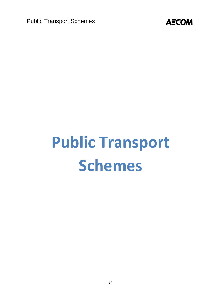

# **Public Transport Schemes**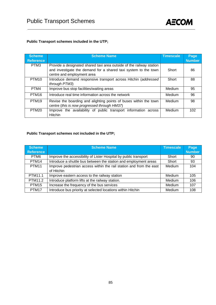

#### **Public Transport schemes included in the UTP;**

| <b>Scheme</b><br><b>Reference</b> | <b>Scheme Name</b>                                                                                                                                                    | <b>Timescale</b> | Page<br><b>Number</b> |
|-----------------------------------|-----------------------------------------------------------------------------------------------------------------------------------------------------------------------|------------------|-----------------------|
|                                   |                                                                                                                                                                       |                  |                       |
| PTM3                              | Provide a designated shared taxi area outside of the railway station<br>and investigate the demand for a shared taxi system to the town<br>centre and employment area | Short            | 86                    |
| PTM <sub>10</sub>                 | Introduce demand responsive transport across Hitchin (addressed                                                                                                       | Short            | 88                    |
|                                   | through PTM3)                                                                                                                                                         |                  |                       |
| PTM4                              | Improve bus stop facilities/waiting areas                                                                                                                             | <b>Medium</b>    | 95                    |
| PTM <sub>16</sub>                 | Introduce real time information across the network                                                                                                                    | Medium           | 96                    |
| PTM <sub>19</sub>                 | Revise the boarding and alighting points of buses within the town<br>centre (this is now progressed through HM37)                                                     | Medium           | 98                    |
| PTM <sub>20</sub>                 | Improve the availability of public transport information across<br><b>Hitchin</b>                                                                                     | <b>Medium</b>    | 102 <sub>2</sub>      |

#### **Public Transport schemes not included in the UTP;**

| Scheme<br><b>Reference</b> | <b>Scheme Name</b>                                                                | Timescale     | Page<br><b>Number</b> |
|----------------------------|-----------------------------------------------------------------------------------|---------------|-----------------------|
| PTM <sub>6</sub>           | Improve the accessibility of Lister Hospital by public transport                  | Short         | 90                    |
| PTM <sub>14</sub>          | Introduce a shuttle bus between the station and employment areas                  | Short         | 93                    |
| PTM <sub>11</sub>          | Improve pedestrian access within the rail station and from the east<br>of Hitchin | Medium        | 104                   |
| PTM11.1                    | Improve eastern access to the railway station                                     | <b>Medium</b> | 105                   |
| PTM11.2                    | Introduce platform lifts at the railway station.                                  | Medium        | 106                   |
| PTM <sub>15</sub>          | Increase the frequency of the bus services                                        | Medium        | 107                   |
| PTM17                      | Introduce bus priority at selected locations within Hitchin                       | Medium        | 108                   |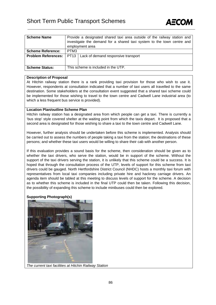### Short Term Public Transport Schemes

| <b>Scheme Name</b>         | Provide a designated shared taxi area outside of the railway station and |                                                                        |  |  |  |
|----------------------------|--------------------------------------------------------------------------|------------------------------------------------------------------------|--|--|--|
|                            |                                                                          | investigate the demand for a shared taxi system to the town centre and |  |  |  |
|                            |                                                                          | employment area                                                        |  |  |  |
| <b>Scheme Reference:</b>   | PTM3                                                                     |                                                                        |  |  |  |
| <b>Problem References:</b> | PT13                                                                     | Lack of demand responsive transport                                    |  |  |  |
|                            |                                                                          |                                                                        |  |  |  |
| <b>Scheme Status:</b>      | This scheme is included in the UTP.                                      |                                                                        |  |  |  |

AECO)

#### **Description of Proposal**

At Hitchin railway station there is a rank providing taxi provision for those who wish to use it. However, respondents at consultation indicated that a number of taxi users all travelled to the same destination. Some stakeholders at the consultation event suggested that a shared taxi scheme could be implemented for those wishing to travel to the town centre and Cadwell Lane industrial area (to which a less frequent bus service is provided).

#### **Location Plan/outline Scheme Plan**

Hitchin railway station has a designated area from which people can get a taxi. There is currently a 'bus stop' style covered shelter at the waiting point from which the taxis depart. It is proposed that a second area is designated for those wishing to share a taxi to the town centre and Cadwell Lane.

However, further analysis should be undertaken before this scheme is implemented. Analysis should be carried out to assess the numbers of people taking a taxi from the station; the destinations of these persons; and whether these taxi users would be willing to share their cab with another person.

If this evaluation provides a sound basis for the scheme, then consideration should be given as to whether the taxi drivers, who serve the station, would be in support of the scheme. Without the support of the taxi drivers serving the station, it is unlikely that this scheme could be a success. It is hoped that through the consultation process of the UTP, levels of support for this scheme from taxi drivers could be gauged. North Hertfordshire District Council (NHDC) hosts a monthly taxi forum with representatives from local taxi companies including private hire and hackney carriage drivers. An agenda item should be tabled at this meeting to discuss levels of support for the scheme. A decision as to whether this scheme is included in the final UTP could then be taken. Following this decision, the possibility of expanding this scheme to include minibuses could then be explored.

#### **Supporting Photograph(s)**



*The current taxi facilities at Hitchin Railway Station*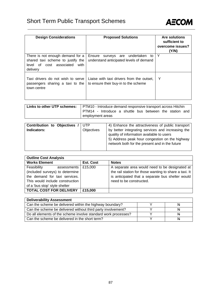

| <b>Design Considerations</b>                                                                                          | <b>Proposed Solutions</b>                                                            | <b>Are solutions</b><br>sufficient to<br>overcome issues?<br>(Y/N) |
|-----------------------------------------------------------------------------------------------------------------------|--------------------------------------------------------------------------------------|--------------------------------------------------------------------|
| There is not enough demand for a<br>shared taxi scheme to justify the<br>level of cost associated<br>with<br>delivery | Ensure<br>undertaken<br>surveys are<br>to<br>understand anticipated levels of demand | Y                                                                  |
| Taxi drivers do not wish to serve<br>passengers sharing a taxi to the<br>town centre                                  | Liaise with taxi drivers from the outset,<br>to ensure their buy-in to the scheme    | Υ                                                                  |

|                  | Links to other UTP schemes:   PTM10 - Introduce demand responsive transport across Hitchin |  |  |  |  |  |
|------------------|--------------------------------------------------------------------------------------------|--|--|--|--|--|
|                  | PTM14 - Introduce a shuttle bus between the station and                                    |  |  |  |  |  |
| employment areas |                                                                                            |  |  |  |  |  |

| <b>Contribution to Objectives</b><br>Indicators: | UTP<br>Objectives | 4) Enhance the attractiveness of public transport<br>by better integrating services and increasing the<br>quality of information available to users<br>5) Address peak hour congestion on the highway |
|--------------------------------------------------|-------------------|-------------------------------------------------------------------------------------------------------------------------------------------------------------------------------------------------------|
|                                                  |                   | network both for the present and in the future                                                                                                                                                        |

| <b>Outline Cost Analysis</b>    |                  |                                                        |  |  |  |
|---------------------------------|------------------|--------------------------------------------------------|--|--|--|
| <b>Works Element</b>            | <b>Est. Cost</b> | <b>Notes</b>                                           |  |  |  |
| Feasibility<br>assessments I    | £15,000          | A separate area would need to be designated at         |  |  |  |
| (included surveys) to determine |                  | the rail station for those wanting to share a taxi. It |  |  |  |
| the demand for taxi services.   |                  | is anticipated that a separate bus shelter would       |  |  |  |
| This would include construction |                  | need to be constructed.                                |  |  |  |
| of a 'bus stop' style shelter   |                  |                                                        |  |  |  |
| <b>TOTAL COST FOR DELIVERY</b>  | £15,000          |                                                        |  |  |  |

| <b>Deliverability Assessment</b>                               |          |
|----------------------------------------------------------------|----------|
| Can the scheme be delivered within the highway boundary?       | Ð        |
| Can the scheme be delivered without third party involvement?   | N        |
| Do all elements of the scheme involve standard work processes? | <b>N</b> |
| Can the scheme be delivered in the short term?                 |          |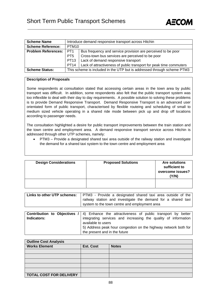

| <b>Scheme Name</b>           | Introduce demand responsive transport across Hitchin                    |                                                                    |  |  |  |
|------------------------------|-------------------------------------------------------------------------|--------------------------------------------------------------------|--|--|--|
| <b>Scheme Reference:</b>     | PTM <sub>10</sub>                                                       |                                                                    |  |  |  |
| <b>Problem References:  </b> | PT <sub>1</sub>                                                         | Bus frequency and service provision are perceived to be poor       |  |  |  |
|                              | PT <sub>5</sub>                                                         | Cross-town bus services are perceived to be poor                   |  |  |  |
|                              | PT <sub>13</sub>                                                        | Lack of demand responsive transport                                |  |  |  |
|                              | PT <sub>14</sub>                                                        | Lack of attractiveness of public transport for peak time commuters |  |  |  |
| <b>Scheme Status:</b>        | This scheme is included in the UTP but is addressed through scheme PTM3 |                                                                    |  |  |  |

#### **Description of Proposals**

Some respondents at consultation stated that accessing certain areas in the town area by public transport was difficult. In addition, some respondents also felt that the public transport system was too inflexible to deal with their day to day requirements. A possible solution to solving these problems is to provide Demand Responsive Transport. Demand Responsive Transport is an advanced user orientated form of public transport, characterised by flexible routeing and scheduling of small to medium sized vehicle operating in a shared ride mode between pick up and drop off locations according to passenger needs.

The consultation highlighted a desire for public transport improvements between the train station and the town centre and employment area. A demand responsive transport service across Hitchin is addressed through other UTP schemes, namely:

• PTM3 – Provide a designated shared taxi area outside of the railway station and investigate the demand for a shared taxi system to the town centre and employment area

| <b>Design Considerations</b> | <b>Proposed Solutions</b> | <b>Are solutions</b><br>sufficient to<br>overcome issues?<br>(Y/N) |
|------------------------------|---------------------------|--------------------------------------------------------------------|
|                              |                           |                                                                    |

| Links to other UTP schemes: | PTM3 - Provide a designated shared taxi area outside of the  |
|-----------------------------|--------------------------------------------------------------|
|                             | railway station and investigate the demand for a shared taxi |
|                             | system to the town centre and employment area                |
|                             |                                                              |

|             | <b>Contribution to Objectives / 4)</b> Enhance the attractiveness of public transport by better |
|-------------|-------------------------------------------------------------------------------------------------|
| Indicators: | integrating services and increasing the quality of information                                  |
|             | available to users                                                                              |
|             | 5) Address peak hour congestion on the highway network both for                                 |
|             | the present and in the future                                                                   |

| <b>Outline Cost Analysis</b>   |                  |              |
|--------------------------------|------------------|--------------|
| <b>Works Element</b>           | <b>Est. Cost</b> | <b>Notes</b> |
|                                |                  |              |
|                                |                  |              |
|                                |                  |              |
|                                |                  |              |
|                                |                  |              |
| <b>TOTAL COST FOR DELIVERY</b> |                  |              |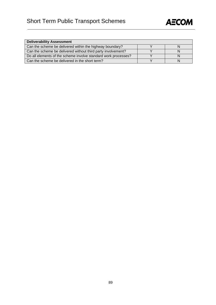

| <b>Deliverability Assessment</b>                               |  |
|----------------------------------------------------------------|--|
| Can the scheme be delivered within the highway boundary?       |  |
| Can the scheme be delivered without third party involvement?   |  |
| Do all elements of the scheme involve standard work processes? |  |
| Can the scheme be delivered in the short term?                 |  |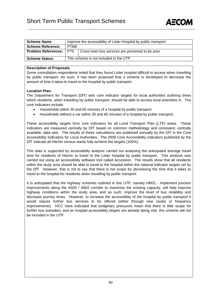

| <b>Scheme Name</b>         | Improve the accessibility of Lister Hospital by public transport |                                                  |
|----------------------------|------------------------------------------------------------------|--------------------------------------------------|
| <b>Scheme Reference:</b>   | PTM <sub>6</sub>                                                 |                                                  |
| <b>Problem References:</b> | PT5                                                              | Cross-town bus services are perceived to be poor |
| <b>Scheme Status:</b>      | This scheme is not included in the UTP                           |                                                  |

#### **Description of Proposals**

Some consultation respondents noted that they found Lister hospital difficult to access when travelling by public transport. As such, it has been proposed that a scheme is developed to decrease the amount of time it takes to travel to the hospital by public transport.

#### **Location Plan:**

The Department for Transport (DfT) sets core indicator targets for local authorities outlining times which residents, when travelling by public transport, should be able to access local amenities in. The core indicators include:

- Households within 30 and 60 minutes of a hospital by public transport;
- Households without a car within 30 and 60 minutes of a hospital by public transport.

These accessibility targets form core indicators for all Local Transport Plan (LTP) areas. These indicators are measured centrally by DfT based on common methodology and consistent, centrally available, data sets. The results of these calculations are published annually by the DfT in the Core Accessibility Indicators for Local Authorities. The 2009 Core Accessibility Indicators published by the DfT indicate all Hitchin census wards fully achieve the targets (100%).

This data is supported by accessibility analysis carried out analysing the anticipated average travel time for residents of Hitchin to travel to the Lister hospital by public transport. This analysis was carried out using an accessibility software tool called Accession. The results show that all residents within the study area should be able to travel to the hospital within the national indicator targets set by the DfT. However, that is not to say that there is not scope for decreasing the time that it takes to travel to the hospital for residents when travelling by public transport.

It is anticipated that the highway schemes outlined in this UTP, namely HM31 - Implement junction improvements along the A505 / A602 corridor to maximise the existing capacity, will help improve highway conditions within the study area, and as such, improve the level of bus reliability and decrease journey times. However, to increase the accessibility of the hospital by public transport it would require further bus services to be offered (either through new routes or frequency improvements). HCC have indicated that budgetary pressures mean that there is little scope for further bus subsidies, and as hospital accessibility targets are already being met, this scheme will not be included in the UTP.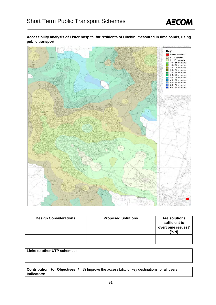

**Accessibility analysis of Lister hospital for residents of Hitchin, measured in time bands, using public transport.** 



| <b>Design Considerations</b> | <b>Proposed Solutions</b> | <b>Are solutions</b><br>sufficient to<br>overcome issues?<br>(Y/N) |
|------------------------------|---------------------------|--------------------------------------------------------------------|
|                              |                           |                                                                    |

| Links to other UTP schemes: |  |
|-----------------------------|--|
|                             |  |
|                             |  |

|             | <b>Contribution to Objectives /</b> $\vert$ 3) Improve the accessibility of key destinations for all users |
|-------------|------------------------------------------------------------------------------------------------------------|
| Indicators: |                                                                                                            |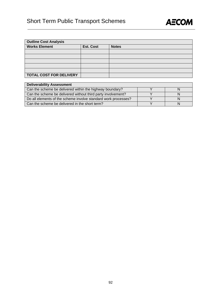## Short Term Public Transport Schemes



| <b>Outline Cost Analysis</b>   |                  |              |
|--------------------------------|------------------|--------------|
| <b>Works Element</b>           | <b>Est. Cost</b> | <b>Notes</b> |
|                                |                  |              |
|                                |                  |              |
|                                |                  |              |
|                                |                  |              |
|                                |                  |              |
| <b>TOTAL COST FOR DELIVERY</b> |                  |              |

| <b>Deliverability Assessment</b>                               |  |
|----------------------------------------------------------------|--|
| Can the scheme be delivered within the highway boundary?       |  |
| Can the scheme be delivered without third party involvement?   |  |
| Do all elements of the scheme involve standard work processes? |  |
| Can the scheme be delivered in the short term?                 |  |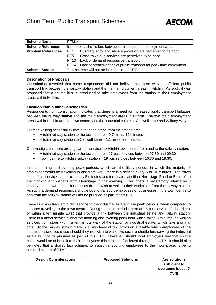

| <b>Scheme Name</b>         | PTM <sub>14</sub>                            |                                                                           |  |
|----------------------------|----------------------------------------------|---------------------------------------------------------------------------|--|
| <b>Scheme Reference:</b>   |                                              | Introduce a shuttle bus between the station and employment areas          |  |
| <b>Problem References:</b> | PT <sub>1</sub>                              | Bus frequency and service provision are perceived to be poor              |  |
|                            | PT <sub>5</sub>                              | Cross-town bus services are perceived to be poor                          |  |
|                            |                                              | PT13   Lack of demand responsive transport                                |  |
|                            |                                              | PT14   Lack of attractiveness of public transport for peak time commuters |  |
| <b>Scheme Status:</b>      | This scheme will not be included in the UTP. |                                                                           |  |

#### **Description of Proposals**

Consultation revealed that some respondents did not believe that there was a sufficient public transport link between the railway station and the main employment areas in Hitchin. As such, it was proposed that a shuttle bus is introduced to take employees from the station to their employment areas within Hitchin.

#### **Location Plan/outline Scheme Plan**

Respondents from consultation indicated that there is a need for increased public transport linkages between the railway station and the main employment areas in Hitchin. The two main employment areas within Hitchin are the town centre, and the industrial estate at Cadwell Lane and Wilbury Way.

Current walking accessibility levels to these areas from the station are:

- Hitchin railway station to the town centre  $-0.7$  miles, 14 minutes
- Hitchin railway station to Cadwell Lane 1.1 miles, 22 minutes.

On investigation, there are regular bus services to Hitchin town centre from and to the railway station.

- Hitchin railway station to the town centre 17 bus services between 07:30 and 09:30
- Town centre to Hitchin railway station 19 bus services between 16:30 and 18:30.

In the morning and evening peak periods, which are the likely periods in which the majority of employees would be travelling to and from work, there is a service every 5 to 10 minutes. The travel time of this service is approximately 5 minutes and terminates at either Hermitage Road or Bancroft in the morning and departs from Hermitage in the evening. This offers a satisfactory alternative if employees of town centre businesses do not wish to walk to their workplace from the railway station. As such, a demand responsive shuttle bus to transport employees of businesses in the town centre to and from the railway station will not be pursued as part of this UTP.

There is a less frequent direct service to the industrial estate in the peak periods, when compared to services travelling to the town centre. During the peak periods there are 6 bus services (either direct or within a ten minute walk) that provide a link between the industrial estate and railway station. There is a direct service during the morning and evening peak hour which takes 5 minutes, as well as services from stops within a ten minute walk of the station or industrial estate, which take a similar time. At the railway station there is a high level of taxi provision available which employees of the industrial estate could use should they not wish to walk. As such, a shuttle bus serving the industrial estate will not be pursued as part of this UTP. However, should local employers feel that shuttle buses would be of benefit to their employees; this could be facilitated through the UTP. It should also be noted that a shared taxi scheme, to assist transporting employees to their workplace, is being pursued as part of PTM3.

| <b>Design Considerations</b> | <b>Proposed Solutions</b> | <b>Are solutions</b><br>sufficient to<br>overcome issues? |
|------------------------------|---------------------------|-----------------------------------------------------------|
|                              |                           | 'Y/N)                                                     |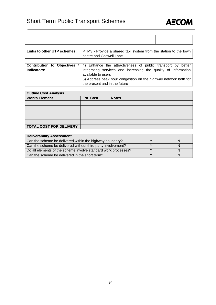

| Links to other UTP schemes:   PTM3 - Provide a shared taxi system from the station to the town |  |
|------------------------------------------------------------------------------------------------|--|

|             | centre and Cadwell Lane                                                                         |
|-------------|-------------------------------------------------------------------------------------------------|
|             |                                                                                                 |
|             | <b>Contribution to Objectives / 4)</b> Enhance the attractiveness of public transport by better |
| Indicators: | integrating services and increasing the quality of information                                  |
|             | available to users                                                                              |
|             | 5) Address peak hour congestion on the highway network both for                                 |
|             | the present and in the future                                                                   |

| <b>Outline Cost Analysis</b>   |                  |              |  |
|--------------------------------|------------------|--------------|--|
| <b>Works Element</b>           | <b>Est. Cost</b> | <b>Notes</b> |  |
|                                |                  |              |  |
|                                |                  |              |  |
|                                |                  |              |  |
|                                |                  |              |  |
|                                |                  |              |  |
| <b>TOTAL COST FOR DELIVERY</b> |                  |              |  |

| <b>Deliverability Assessment</b>                               |  |  |  |
|----------------------------------------------------------------|--|--|--|
| Can the scheme be delivered within the highway boundary?       |  |  |  |
| Can the scheme be delivered without third party involvement?   |  |  |  |
| Do all elements of the scheme involve standard work processes? |  |  |  |
| Can the scheme be delivered in the short term?                 |  |  |  |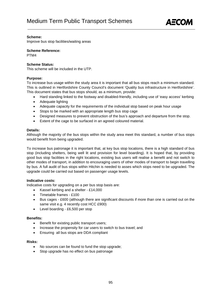

Improve bus stop facilities/waiting areas

**Scheme Reference:** 

PTM4

#### **Scheme Status:**

This scheme will be included in the UTP.

#### **Purpose:**

To increase bus usage within the study area it is important that all bus stops reach a minimum standard. This is outlined in Hertfordshire County Council's document 'Quality bus infrastructure in Hertfordshire'. This document states that bus stops should, as a minimum, provide:

- Hard standing linked to the footway and disabled-friendly, including use of 'easy access' kerbing
- Adequate lighting
- Adequate capacity for the requirements of the individual stop based on peak hour usage
- Stops to be marked with an appropriate length bus stop cage
- Designed measures to prevent obstruction of the bus's approach and departure from the stop.
- Extent of the cage to be surfaced in an agreed coloured material.

#### **Details:**

Although the majority of the bus stops within the study area meet this standard, a number of bus stops would benefit from being upgraded.

To increase bus patronage it is important that, at key bus stop locations, there is a high standard of bus stop (including shelters, being well lit and provision for level boarding). It is hoped that, by providing good bus stop facilities in the right locations, existing bus users will realise a benefit and not switch to other modes of transport, in addition to encouraging users of other modes of transport to begin travelling by bus. A full audit of bus stops within Hitchin is needed to asses which stops need to be upgraded. The upgrade could be carried out based on passenger usage levels.

#### **Indicative costs:**

Indicative costs for upgrading on a per bus stop basis are:

- Kassel kerbing and a shelter £14,000
- Timetable frames £100
- Bus cages £600 (although there are significant discounts if more than one is carried out on the same visit e.g. 4 recently cost HCC £900)
- Level boarding £6,500 per stop

#### **Benefits:**

- Benefit for existing public transport users;
- Increase the propensity for car users to switch to bus travel; and
- Ensuring all bus stops are DDA compliant

#### **Risks:**

- No sources can be found to fund the stop upgrade;
- Stop upgrade has no effect on bus patronage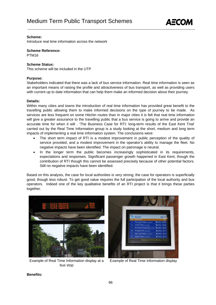

Introduce real time information across the network

#### **Scheme Reference:**

PTM16

#### **Scheme Status:**

This scheme will be included in the UTP

#### **Purpose:**

Stakeholders indicated that there was a lack of bus service information. Real time information is seen as an important means of raising the profile and attractiveness of bus transport, as well as providing users with current up to date information that can help them make an informed decision about their journey.

#### **Details:**

Within many cities and towns the introduction of real time information has provided great benefit to the travelling public allowing them to make informed decisions on the type of journey to be made. As services are less frequent on some Hitchin routes than in major cities it is felt that real time information will give a greater assurance to the travelling public that a bus service is going to arrive and provide an accurate time for when it will . 'The Business Case for RTI: long-term results of the East Kent Trial' carried out by the Real Time Information group is a study looking at the short, medium and long term impacts of implementing a real time information system. The conclusions were:

- The short term impact of RTI is a modest improvement in public perception of the quality of service provided, and a modest improvement in the operator's ability to manage the fleet. No negative impacts have been identified. The impact on patronage is neutral.
- In the longer term the public becomes increasingly sophisticated in its requirements, expectations and responses. Significant passenger growth happened in East Kent, though the contribution of RTI though this cannot be assessed precisely because of other potential factors. Still no negative impacts have been identified.

Based on this analysis, the case for local authorities is very strong; the case for operators is superficially good, though less robust. To get good value requires the full participation of the local authority and bus operators. Indeed one of the key qualitative benefits of an RTI project is that it brings these parties together.



Example of Real Time Information display at a bus stop



Example of Real Time Information display

**Benefits:**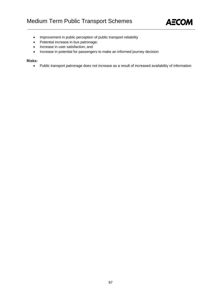

- Improvement in public perception of public transport reliability
- Potential increase in bus patronage;
- Increase in user satisfaction; and
- Increase in potential for passengers to make an informed journey decision

#### **Risks:**

• Public transport patronage does not increase as a result of increased availability of information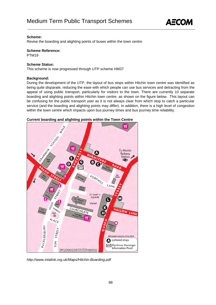

Revise the boarding and alighting points of buses within the town centre

**Scheme Reference:** 

PTM19

#### **Scheme Status:**

This scheme is now progressed through UTP scheme HM37

#### **Background:**

During the development of the UTP, the layout of bus stops within Hitchin town centre was identified as being quite disparate, reducing the ease with which people can use bus services and detracting from the appeal of using public transport, particularly for visitors to the town. There are currently 10 separate boarding and alighting points within Hitchin town centre, as shown on the figure below. This layout can be confusing for the public transport user as it is not always clear from which stop to catch a particular service (and the boarding and alighting points may differ). In addition, there is a high level of congestion within the town centre which impacts upon bus journey times and bus journey time reliability.



#### **Current boarding and alighting points within the Town Centre**

*http://www.intalink.org.uk/Maps/Hitchin-Boarding.pdf*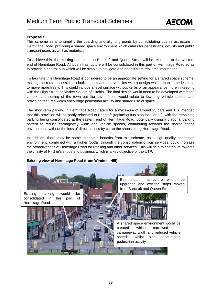

#### **Proposals:**

This scheme aims to simplify the boarding and alighting points by consolidating bus infrastructure in Hermitage Road, providing a shared space environment which caters for pedestrians, cyclists and public transport users as well as motorists.

To achieve this, the existing bus stops on Bancroft and Queen Street will be relocated to the western end of Hermitage Road. All bus infrastructure will be consolidated in this part of Hermitage Road so as to provide a central hub which will be simple to navigate and benefit from real time information.

To facilitate this Hermitage Road is considered to be an appropriate setting for a shared space scheme; making the route accessible to both pedestrians and vehicles with a design which enables pedestrians to move more freely. This could include a level surface without kerbs or an appearance more in keeping with the High Street or Market Square of Hitchin. The final design would need to be developed within the context and setting of the town but the key themes would relate to lowering vehicle speeds and providing features which encourage pedestrian activity and shared use of space

The short-term parking in Hermitage Road caters for a maximum of around 25 cars and it is intended that this provision will be partly relocated to Bancroft (replacing bus stop location G); with the remaining parking being consolidated at the eastern end of Hermitage Road, potentially using a diagonal parking pattern to reduce carriageway width and vehicle speeds, contributing towards the shared space environment, without the loss of direct access by car to the shops along Hermitage Road.

In addition, there may be some economic benefits from this scheme, as a high quality pedestrian environment, combined with a higher footfall through the consolidation of bus services, could increase the attractiveness of Hermitage Road for retailing and other services. This will help to contribute towards the vitality of Hitchin's shops and business which is a key objective of the UTP.

#### **Existing view of Hermitage Road (from Windmill Hill)**

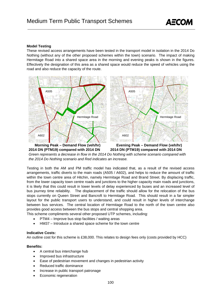

#### **Model Testing**

These revised access arrangements have been tested in the transport model in isolation in the 2014 Do Nothing (without any of the other proposed schemes within the town) scenario. The impact of making Hermitage Road into a shared space area in the morning and evening peaks is shown in the figures. Effectively the designation of this area as a shared space would reduce the speed of vehicles using the road and also reduce the capacity of the route.



*Green represents a decrease in flow in the 2014 Do Nothing with scheme scenario compared with the 2014 Do Nothing scenario and Red indicates an increase.* 

Testing in both the AM and PM traffic model has indicated that, as a result of the revised access arrangements, traffic diverts to the main roads (A505 / A602), and helps to reduce the amount of traffic within the town centre area of Hitchin, namely Hermitage Road and Brand Street. By displacing traffic, from the lower capacity town centre roads and junctions to the higher capacity main roads and junctions, it is likely that this could result in lower levels of delay experienced by buses and an increased level of bus journey time reliability. The displacement of the traffic should allow for the relocation of the bus stops currently on Queen Street and Bancroft to Hermitage Road. This should result in a far simpler layout for the public transport users to understand, and could result in higher levels of interchange between bus services. The central location of Hermitage Road to the north of the town centre also provides good access between the bus stops and central shopping area.

This scheme compliments several other proposed UTP schemes, including:

- PTM4 Improve bus stop facilities / waiting areas
- HM37 Introduce a shared space scheme for the town centre

#### **Indicative Costs:**

An outline cost for this scheme is £38,000. This relates to design fees only (costs provided by HCC)

#### **Benefits:**

- A central bus interchange hub
- Improved bus infrastructure
- Ease of pedestrian movement and changes in pedestrian activity
- Reduced traffic dominance
- Increase in public transport patronage
- Economic regeneration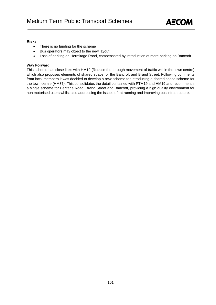

#### **Risks:**

- There is no funding for the scheme
- Bus operators may object to the new layout
- Loss of parking on Hermitage Road, compensated by introduction of more parking on Bancroft

#### **Way Forward**

This scheme has close links with HM19 (Reduce the through movement of traffic within the town centre) which also proposes elements of shared space for the Bancroft and Brand Street. Following comments from local members it was decided to develop a new scheme for introducing a shared space scheme for the town centre (HM37). This consolidates the detail contained with PTM19 and HM19 and recommends a single scheme for Heritage Road, Brand Street and Bancroft, providing a high quality environment for non motorised users whilst also addressing the issues of rat running and improving bus infrastructure.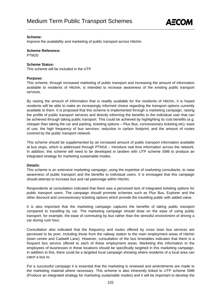

Improve the availability and marketing of public transport across Hitchin

**Scheme Reference:** 

PTM20

#### **Scheme Status:**

This scheme will be included in the UTP

#### **Purpose:**

This scheme, through increased marketing of public transport and increasing the amount of information available to residents of Hitchin, is intended to increase awareness of the existing public transport services.

By raising the amount of information that is readily available for the residents of Hitchin, it is hoped residents will be able to make an increasingly informed choice regarding the transport options currently available to them. It is proposed that this scheme is implemented through a marketing campaign, raising the profile of public transport services and directly informing the benefits to the individual user that can be achieved through taking public transport. This could be achieved by highlighting its cost benefits (e.g. cheaper than taking the car and parking, ticketing options – Plus Bus, concessionary ticketing etc); ease of use; the high frequency of bus services; reduction in carbon footprint; and the amount of routes covered by the public transport network.

This scheme should be supplemented by an increased amount of public transport information available at bus stops, which is addressed through PTM16 – Introduce real time information across the network. In addition, this scheme will need to be developed in tandem with UTP scheme SM8 to produce an integrated strategy for marketing sustainable modes.

#### **Details:**

This scheme is an extensive marketing campaign, using the expertise of marketing consultants, to raise awareness of public transport and the benefits to individual users. It is envisaged that this campaign should attempt to increase bus and rail patronage within Hitchin.

Respondents at consultation indicated that there was a perceived lack of integrated ticketing options for public transport users. The campaign should promote schemes such as Plus Bus, Explorer and the other discount and concessionary ticketing options which provide the travelling public with added value.

It is also important that the marketing campaign captures the benefits of taking public transport compared to travelling by car. The marketing campaign should draw on the ease of using public transport, for example, the ease of commuting by bus rather than the stressful environment of driving a car during rush hour.

Consultation also indicated that the frequency and routes offered by cross town bus services are perceived to be poor, including those from the railway station to the main employment areas of Hitchin (town centre and Cadwell Lane). However, consultation of the bus timetables indicates that there is a frequent bus service offered to each of these employment areas. Marketing this information to the employees of businesses in these locations should be specifically targeted in this marketing campaign. In addition to this, there could be a targeted local campaign showing where residents of a local area can catch a bus to.

For a successful campaign it is essential that the marketing is reviewed and amendments are made to the marketing material where necessary. This scheme is also inherently linked to UTP scheme SM8 (Produce an integrated strategy for marketing sustainable modes) and it will be important to develop the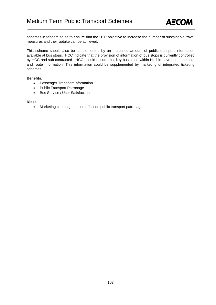

schemes in tandem so as to ensure that the UTP objective to increase the number of sustainable travel measures and their uptake can be achieved.

This scheme should also be supplemented by an increased amount of public transport information available at bus stops. HCC indicate that the provision of information of bus stops is currently controlled by HCC and sub-contracted. HCC should ensure that key bus stops within Hitchin have both timetable and route information. This information could be supplemented by marketing of integrated ticketing schemes.

#### **Benefits:**

- Passenger Transport Information
- Public Transport Patronage
- Bus Service / User Satisfaction

#### **Risks:**

• Marketing campaign has no effect on public transport patronage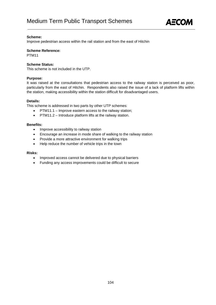

Improve pedestrian access within the rail station and from the east of Hitchin

#### **Scheme Reference:**

PTM11

#### **Scheme Status:**

This scheme is not included in the UTP.

#### **Purpose:**

It was raised at the consultations that pedestrian access to the railway station is perceived as poor, particularly from the east of Hitchin. Respondents also raised the issue of a lack of platform lifts within the station, making accessibility within the station difficult for disadvantaged users.

#### **Details:**

This scheme is addressed in two parts by other UTP schemes:

- PTM11.1 Improve eastern access to the railway station;
- PTM11.2 Introduce platform lifts at the railway station.

#### **Benefits:**

- Improve accessibility to railway station
- Encourage an increase in mode share of walking to the railway station
- Provide a more attractive environment for walking trips
- Help reduce the number of vehicle trips in the town

#### **Risks:**

- Improved access cannot be delivered due to physical barriers
- Funding any access improvements could be difficult to secure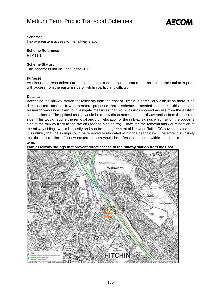

Improve eastern access to the railway station

#### **Scheme Reference:**

**PTM11.1** 

#### **Scheme Status:**

This scheme is not included in the UTP

#### **Purpose:**

As discussed, respondents at the stakeholder consultation indicated that access to the station is poor, with access from the eastern side of Hitchin particularly difficult.

#### **Details:**

Accessing the railway station for residents from the east of Hitchin is particularly difficult as there is no direct eastern access. It was therefore proposed that a scheme is needed to address this problem. Research was undertaken to investigate measures that would assist improved access from the eastern side of Hitchin. The optimal choice would be a new direct access to the railway station from the eastern side. This would require the removal and / or relocation of the railway sidings which sit on the opposite side of the railway track to the station (see the plan below). However, the removal and / or relocation of the railway sidings would be costly and require the agreement of Network Rail. HCC have indicated that it is unlikely that the sidings could be removed or relocated within the near future. Therefore it is unlikely that the construction of a new eastern access would be a feasible scheme within the short to medium term.

#### **Plan of railway sidings that prevent direct access to the railway station from the East**

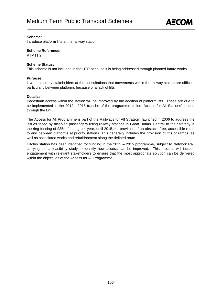

Introduce platform lifts at the railway station

#### **Scheme Reference:**

**PTM11.2** 

#### **Scheme Status:**

This scheme is not included in the UTP because it is being addressed through planned future works.

#### **Purpose:**

It was raised by stakeholders at the consultations that movements within the railway station are difficult, particularly between platforms because of a lack of lifts.

#### **Details:**

Pedestrian access within the station will be improved by the addition of platform lifts. These are due to be implemented in the 2012 - 2015 tranche of the programme called 'Access for All Stations' funded through the DfT.

The Access for All Programme is part of the Railways for All Strategy, launched in 2006 to address the issues faced by disabled passengers using railway stations in Great Britain. Central to the Strategy is the ring-fencing of £35m funding per year, until 2015, for provision of an obstacle free, accessible route to and between platforms at priority stations. This generally includes the provision of lifts or ramps, as well as associated works and refurbishment along the defined route.

Hitchin station has been identified for funding in the 2012 – 2015 programme, subject to Network Rail carrying out a feasibility study to identify how access can be improved. This process will include engagement with relevant stakeholders to ensure that the most appropriate solution can be delivered within the objectives of the Access for All Programme.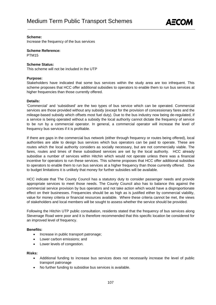

Increase the frequency of the bus services

**Scheme Reference:** 

PTM15

#### **Scheme Status:**

This scheme will not be included in the UTP

#### **Purpose:**

Stakeholders have indicated that some bus services within the study area are too infrequent. This scheme proposes that HCC offer additional subsidies to operators to enable them to run bus services at higher frequencies than those currently offered.

#### **Details:**

'Commercial' and 'subsidised' are the two types of bus service which can be operated. Commercial services are those provided without any subsidy (except for the provision of concessionary fares and the mileage-based subsidy which offsets most fuel duty). Due to the bus industry now being de-regulated, if a service is being operated without a subsidy the local authority cannot dictate the frequency of service to be run by a commercial operator. In general, a commercial operator will increase the level of frequency bus services if it is profitable.

If there are gaps in the commercial bus network (either through frequency or routes being offered), local authorities are able to design bus services which bus operators can be paid to operate. These are routes which the local authority considers as socially necessary, but are not commercially viable. The fares, routes and times of these subsidised services are set by the local authority. HCC already subsidise a number of services within Hitchin which would not operate unless there was a financial incentive for operators to run these services. This scheme proposes that HCC offer additional subsidies to operators to enable them to run bus services at a higher frequency than those currently offered. Due to budget limitations it is unlikely that money for further subsidies will be available.

HCC indicate that The County Council has a statutory duty to consider passenger needs and provide appropriate services to meet those needs. The County Council also has to balance this against the commercial service provision by bus operators and not take action which would have a disproportionate effect on their businesses. Frequencies should be as high as is justified either by commercial viability, value for money criteria or financial resources available. Where these criteria cannot be met, the views of stakeholders and local members will be sought to assess whether the service should be provided.

Following the Hitchin UTP public consultation, residents stated that the frequency of bus services along Stevenage Road were poor and it is therefore recommended that this specific location be considered for an improved level of frequency.

#### **Benefits:**

- Increase in public transport patronage;
- Lower carbon emissions; and
- Lower levels of congestion.

#### **Risks:**

- Additional funding to increase bus services does not necessarily increase the level of public transport patronage
- No further funding to subsidise bus services is available.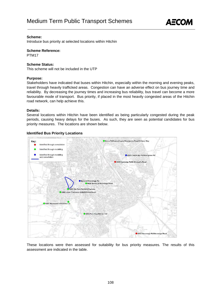

Introduce bus priority at selected locations within Hitchin

**Scheme Reference:** 

PTM17

#### **Scheme Status:**

This scheme will not be included in the UTP

#### **Purpose:**

Stakeholders have indicated that buses within Hitchin, especially within the morning and evening peaks, travel through heavily trafficked areas. Congestion can have an adverse effect on bus journey time and reliability. By decreasing the journey times and increasing bus reliability, bus travel can become a more favourable mode of transport. Bus priority, if placed in the most heavily congested areas of the Hitchin road network, can help achieve this.

#### **Details:**

Several locations within Hitchin have been identified as being particularly congested during the peak periods, causing heavy delays for the buses. As such, they are seen as potential candidates for bus priority measures. The locations are shown below.

#### **Identified Bus Priority Locations**



These locations were then assessed for suitability for bus priority measures. The results of this assessment are indicated in the table.